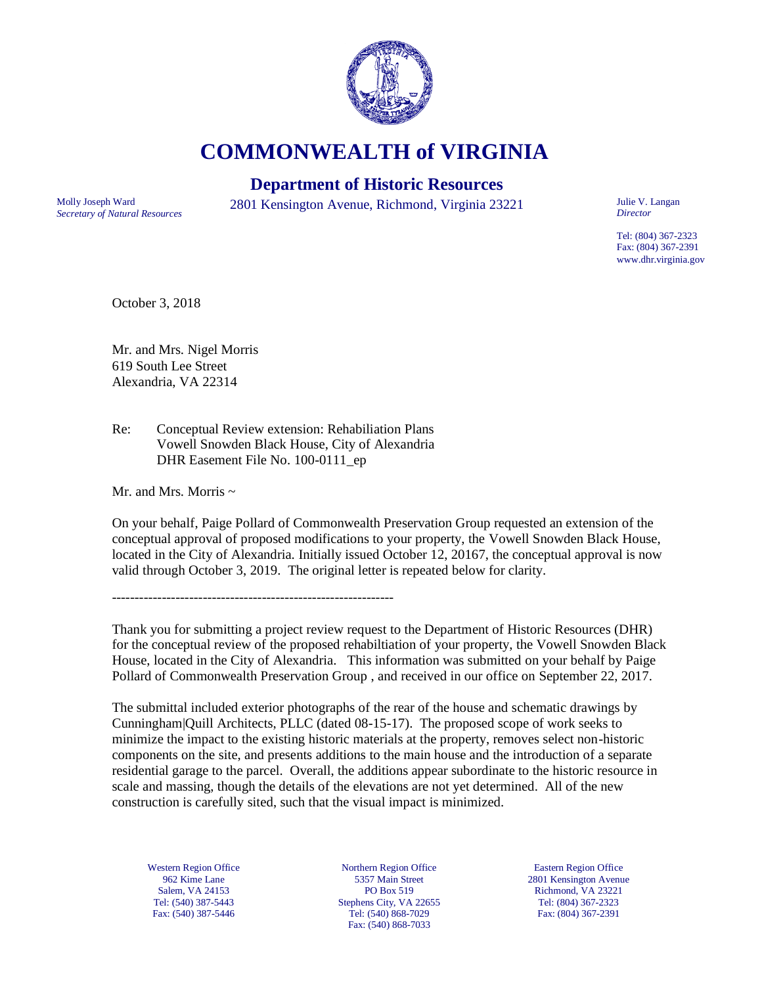

**COMMONWEALTH of VIRGINIA**

## **Department of Historic Resources**

*Secretary of Natural Resources*

Molly Joseph Ward 2801 Kensington Avenue, Richmond, Virginia 23221

Julie V. Langan *Director*

Tel: (804) 367-2323 Fax: (804) 367-2391 www.dhr.virginia.gov

October 3, 2018

Mr. and Mrs. Nigel Morris 619 South Lee Street Alexandria, VA 22314

Re: Conceptual Review extension: Rehabiliation Plans Vowell Snowden Black House, City of Alexandria DHR Easement File No. 100-0111\_ep

Mr. and Mrs. Morris  $\sim$ 

On your behalf, Paige Pollard of Commonwealth Preservation Group requested an extension of the conceptual approval of proposed modifications to your property, the Vowell Snowden Black House, located in the City of Alexandria. Initially issued October 12, 20167, the conceptual approval is now valid through October 3, 2019. The original letter is repeated below for clarity.

--------------------------------------------------------------

Thank you for submitting a project review request to the Department of Historic Resources (DHR) for the conceptual review of the proposed rehabiltiation of your property, the Vowell Snowden Black House, located in the City of Alexandria. This information was submitted on your behalf by Paige Pollard of Commonwealth Preservation Group , and received in our office on September 22, 2017.

The submittal included exterior photographs of the rear of the house and schematic drawings by Cunningham|Quill Architects, PLLC (dated 08-15-17). The proposed scope of work seeks to minimize the impact to the existing historic materials at the property, removes select non-historic components on the site, and presents additions to the main house and the introduction of a separate residential garage to the parcel. Overall, the additions appear subordinate to the historic resource in scale and massing, though the details of the elevations are not yet determined. All of the new construction is carefully sited, such that the visual impact is minimized.

Western Region Office 962 Kime Lane Salem, VA 24153 Tel: (540) 387-5443 Fax: (540) 387-5446

Northern Region Office 5357 Main Street PO Box 519 Stephens City, VA 22655 Tel: (540) 868-7029 Fax: (540) 868-7033

Eastern Region Office 2801 Kensington Avenue Richmond, VA 23221 Tel: (804) 367-2323 Fax: (804) 367-2391